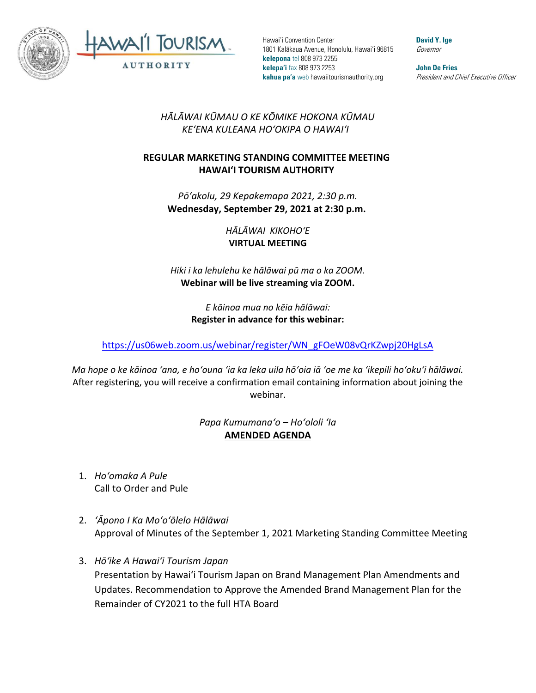

Hawai'i Convention Center 1801 Kalākaua Avenue, Honolulu, Hawai'i 96815 **kelepona** tel 808 973 2255 **kelepa'i** fax 808 973 2253 **kahua pa'a** web hawaiitourismauthority.org

**David Y. Ige** Governor

**John De Fries** President and Chief Executive Officer

## *HĀLĀWAI KŪMAU O KE KŌMIKE HOKONA KŪMAU KEʻENA KULEANA HOʻOKIPA O HAWAIʻI*

## **REGULAR MARKETING STANDING COMMITTEE MEETING HAWAI'I TOURISM AUTHORITY**

*Pōʻakolu, 29 Kepakemapa 2021, 2:30 p.m.* **Wednesday, September 29, 2021 at 2:30 p.m.**

> *HĀLĀWAI KIKOHOʻE* **VIRTUAL MEETING**

*Hiki i ka lehulehu ke hālāwai pū ma o ka ZOOM.*  **Webinar will be live streaming via ZOOM.**

> *E kāinoa mua no kēia hālāwai:* **Register in advance for this webinar:**

[https://us06web.zoom.us/webinar/register/WN\\_gFOeW08vQrKZwpj20HgLsA](https://us06web.zoom.us/webinar/register/WN_gFOeW08vQrKZwpj20HgLsA)

*Ma hope o ke kāinoa ʻana, e hoʻouna ʻia ka leka uila hōʻoia iā ʻoe me ka ʻikepili hoʻokuʻi hālāwai.* After registering, you will receive a confirmation email containing information about joining the webinar.

## *Papa Kumumanaʻo – Hoʻololi ʻIa* **AMENDED AGENDA**

- 1. *Hoʻomaka A Pule* Call to Order and Pule
- 2. *ʻĀpono I Ka Moʻoʻōlelo Hālāwai* Approval of Minutes of the September 1, 2021 Marketing Standing Committee Meeting
- 3. *Hōʻike A Hawaiʻi Tourism Japan* Presentation by Hawai'i Tourism Japan on Brand Management Plan Amendments and Updates. Recommendation to Approve the Amended Brand Management Plan for the Remainder of CY2021 to the full HTA Board